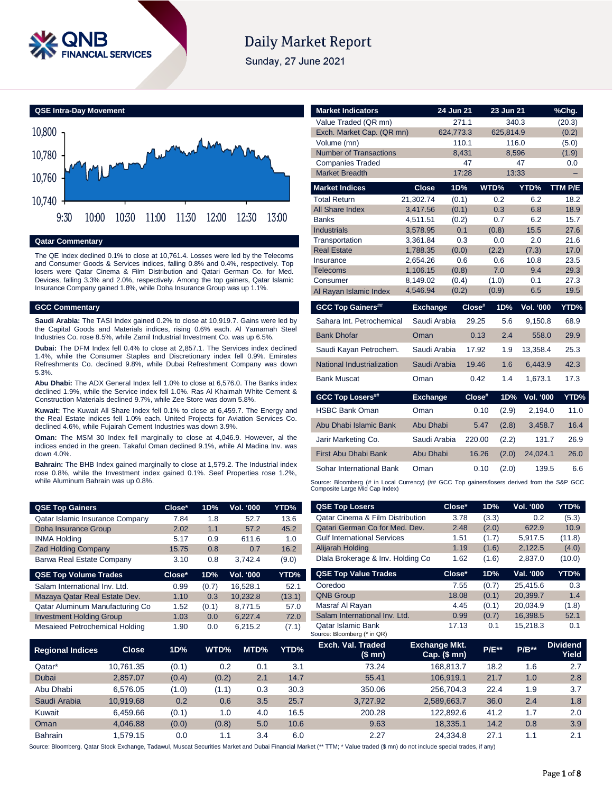

# **Daily Market Report**

Sunday, 27 June 2021



### **Qatar Commentary**

The QE Index declined 0.1% to close at 10,761.4. Losses were led by the Telecoms and Consumer Goods & Services indices, falling 0.8% and 0.4%, respectively. Top losers were Qatar Cinema & Film Distribution and Qatari German Co. for Med. Devices, falling 3.3% and 2.0%, respectively. Among the top gainers, Qatar Islamic Insurance Company gained 1.8%, while Doha Insurance Group was up 1.1%.

### **GCC Commentary**

**Saudi Arabia:** The TASI Index gained 0.2% to close at 10,919.7. Gains were led by the Capital Goods and Materials indices, rising 0.6% each. Al Yamamah Steel Industries Co. rose 8.5%, while Zamil Industrial Investment Co. was up 6.5%.

**Dubai:** The DFM Index fell 0.4% to close at 2,857.1. The Services index declined 1.4%, while the Consumer Staples and Discretionary index fell 0.9%. Emirates Refreshments Co. declined 9.8%, while Dubai Refreshment Company was down 5.3%.

**Abu Dhabi:** The ADX General Index fell 1.0% to close at 6,576.0. The Banks index declined 1.9%, while the Service index fell 1.0%. Ras Al Khaimah White Cement & Construction Materials declined 9.7%, while Zee Store was down 5.8%.

**Kuwait:** The Kuwait All Share Index fell 0.1% to close at 6,459.7. The Energy and the Real Estate indices fell 1.0% each. United Projects for Aviation Services Co. declined 4.6%, while Fujairah Cement Industries was down 3.9%.

**Oman:** The MSM 30 Index fell marginally to close at 4,046.9. However, al the indices ended in the green. Takaful Oman declined 9.1%, while Al Madina Inv. was down 4.0%.

**Bahrain:** The BHB Index gained marginally to close at 1,579.2. The Industrial index rose 0.8%, while the Investment index gained 0.1%. Seef Properties rose 1.2%, while Aluminum Bahrain was up 0.8%.

| <b>QSE Top Gainers</b>          | Close* | 1D% | <b>Vol. '000</b> | YTD%  |
|---------------------------------|--------|-----|------------------|-------|
| Qatar Islamic Insurance Company | 7.84   | 1.8 | 52.7             | 13.6  |
| Doha Insurance Group            | 2.02   | 1.1 | 57.2             | 45.2  |
| <b>INMA Holding</b>             | 5.17   | 0.9 | 611.6            | 1.0   |
| <b>Zad Holding Company</b>      | 15.75  | 0.8 | 0.7              | 16.2  |
| Barwa Real Estate Company       | 3.10   | 0.8 | 3.742.4          | (9.0) |

| <b>QSE Top Volume Trades</b>    | Close* | 1D%   | <b>Vol. '000</b> | YTD%   |
|---------------------------------|--------|-------|------------------|--------|
| Salam International Inv. Ltd.   | 0.99   | (0.7) | 16.528.1         | 52.1   |
| Mazaya Qatar Real Estate Dev.   | 1.10   | 0.3   | 10.232.8         | (13.1) |
| Qatar Aluminum Manufacturing Co | 1.52   | (0.1) | 8.771.5          | 57.0   |
| <b>Investment Holding Group</b> | 1.03   | 0.0   | 6.227.4          | 72.0   |
| Mesaieed Petrochemical Holding  | 1.90   | 0.0   | 6.215.2          | (7.1)  |

| <b>Market Indicators</b>      |                      | 24 Jun 21    | 23 Jun 21       |                  | %Chg.          |
|-------------------------------|----------------------|--------------|-----------------|------------------|----------------|
| Value Traded (QR mn)          |                      | 271.1        |                 | 340.3            | (20.3)         |
| Exch. Market Cap. (QR mn)     |                      | 624,773.3    | 625,814.9       |                  | (0.2)          |
| Volume (mn)                   |                      | 110.1        |                 | 116.0            | (5.0)          |
| <b>Number of Transactions</b> |                      | 8.431        |                 | 8.596            | (1.9)          |
| <b>Companies Traded</b>       |                      | 47           |                 | 47               | 0.0            |
| <b>Market Breadth</b>         |                      | 17:28        |                 | 13:33            |                |
| <b>Market Indices</b>         | <b>Close</b>         | 1D%          | WTD%            | YTD%             | <b>TTM P/E</b> |
| <b>Total Return</b>           | 21.302.74            | (0.1)        | 0.2             | 6.2              | 18.2           |
| All Share Index               | 3,417.56             | (0.1)        | 0.3             | 6.8              | 18.9           |
| <b>Banks</b>                  | 4,511.51             | (0.2)        | 0.7             | 6.2              | 15.7           |
| <b>Industrials</b>            | 3,578.95             | 0.1          | (0.8)           | 15.5             | 27.6           |
| Transportation                | 3,361.84             | 0.3          | 0.0             | 2.0              | 21.6           |
| <b>Real Estate</b>            | 1,788.35             | (0.0)        | (2.2)           | (7.3)            | 17.0           |
| Insurance<br>Telecoms         | 2.654.26<br>1,106.15 | 0.6<br>(0.8) | 0.6<br>7.0      | 10.8<br>9.4      | 23.5<br>29.3   |
| Consumer                      | 8,149.02             | (0.4)        | (1.0)           | 0.1              | 27.3           |
| Al Rayan Islamic Index        | 4,546.94             | (0.2)        | (0.9)           | 6.5              | 19.5           |
|                               |                      |              |                 |                  |                |
|                               |                      |              |                 |                  |                |
| <b>GCC Top Gainers##</b>      | <b>Exchange</b>      | $Close^*$    | 1D%             | Vol. '000        | YTD%           |
| Sahara Int. Petrochemical     | Saudi Arabia         |              | 29.25<br>5.6    | 9,150.8          | 68.9           |
| <b>Bank Dhofar</b>            | Oman                 |              | 0.13<br>2.4     | 558.0            | 29.9           |
| Saudi Kayan Petrochem.        | Saudi Arabia         |              | 17.92<br>1.9    | 13.358.4         | 25.3           |
| National Industrialization    | Saudi Arabia         |              | 1.6<br>19.46    | 6,443.9          | 42.3           |
| <b>Bank Muscat</b>            | Oman                 |              | 0.42<br>1.4     | 1,673.1          | 17.3           |
| <b>GCC Top Losers##</b>       | <b>Exchange</b>      |              | Close#<br>1D%   | <b>Vol. '000</b> | YTD%           |
| <b>HSBC Bank Oman</b>         | Oman                 |              | 0.10<br>(2.9)   | 2.194.0          | 11.0           |
| Abu Dhabi Islamic Bank        | Abu Dhabi            |              | 5.47            |                  | 16.4           |
|                               |                      |              | (2.8)           | 3,458.7          |                |
| Jarir Marketing Co.           | Saudi Arabia         |              | 220.00<br>(2.2) | 131.7            | 26.9           |
| First Abu Dhabi Bank          | Abu Dhabi            |              | 16.26<br>(2.0)  | 24,024.1         | 26.0           |
| Sohar International Bank      | Oman                 |              | 0.10<br>(2.0)   | 139.5            | 6.6            |

| <b>QSE Top Gainers</b>          |              | Close* | 1D%   | <b>Vol. '000</b> | YTD%   | <b>QSE Top Losers</b>                                                                                                                                                       | Close*                               | 1D%     | Vol. '000 | YTD%                     |
|---------------------------------|--------------|--------|-------|------------------|--------|-----------------------------------------------------------------------------------------------------------------------------------------------------------------------------|--------------------------------------|---------|-----------|--------------------------|
| Qatar Islamic Insurance Company |              | 7.84   | 1.8   | 52.7             | 13.6   | <b>Qatar Cinema &amp; Film Distribution</b>                                                                                                                                 | 3.78                                 | (3.3)   | 0.2       | (5.3)                    |
| Doha Insurance Group            |              | 2.02   | 1.1   | 57.2             | 45.2   | Qatari German Co for Med. Dev.                                                                                                                                              | 2.48                                 | (2.0)   | 622.9     | 10.9                     |
| <b>INMA Holding</b>             |              | 5.17   | 0.9   | 611.6            | 1.0    | <b>Gulf International Services</b>                                                                                                                                          | 1.51                                 | (1.7)   | 5.917.5   | (11.8)                   |
| <b>Zad Holding Company</b>      |              | 15.75  | 0.8   | 0.7              | 16.2   | Alijarah Holding                                                                                                                                                            | 1.19                                 | (1.6)   | 2,122.5   | (4.0)                    |
| Barwa Real Estate Company       |              | 3.10   | 0.8   | 3,742.4          | (9.0)  | Dlala Brokerage & Inv. Holding Co                                                                                                                                           | 1.62                                 | (1.6)   | 2,837.0   | (10.0)                   |
| <b>QSE Top Volume Trades</b>    |              | Close* | 1D%   | Vol. '000        | YTD%   | <b>QSE Top Value Trades</b>                                                                                                                                                 | Close*                               | 1D%     | Val. '000 | YTD%                     |
| Salam International Inv. Ltd.   |              | 0.99   | (0.7) | 16,528.1         | 52.1   | Ooredoo                                                                                                                                                                     | 7.55                                 | (0.7)   | 25,415.6  | 0.3                      |
| Mazaya Qatar Real Estate Dev.   |              | 1.10   | 0.3   | 10,232.8         | (13.1) | <b>QNB Group</b>                                                                                                                                                            | 18.08                                | (0.1)   | 20,399.7  | 1.4                      |
| Qatar Aluminum Manufacturing Co |              | 1.52   | (0.1) | 8,771.5          | 57.0   | Masraf Al Rayan                                                                                                                                                             | 4.45                                 | (0.1)   | 20,034.9  | (1.8)                    |
| <b>Investment Holding Group</b> |              | 1.03   | 0.0   | 6,227.4          | 72.0   | Salam International Inv. Ltd.                                                                                                                                               | 0.99                                 | (0.7)   | 16,398.5  | 52.1                     |
| Mesaieed Petrochemical Holding  |              | 1.90   | 0.0   | 6,215.2          | (7.1)  | Qatar Islamic Bank<br>Source: Bloomberg (* in QR)                                                                                                                           | 17.13                                | 0.1     | 15,218.3  | 0.1                      |
| <b>Regional Indices</b>         | <b>Close</b> | 1D%    | WTD%  | MTD%             | YTD%   | Exch. Val. Traded<br>(\$mn)                                                                                                                                                 | <b>Exchange Mkt.</b><br>Cap. $($mn)$ | $P/E**$ | $P/B**$   | <b>Dividend</b><br>Yield |
| Qatar*                          | 10,761.35    | (0.1)  |       | 0.2<br>0.1       | 3.1    | 73.24                                                                                                                                                                       | 168,813.7                            | 18.2    | 1.6       | 2.7                      |
| <b>Dubai</b>                    | 2,857.07     | (0.4)  | (0.2) | 2.1              | 14.7   | 55.41                                                                                                                                                                       | 106,919.1                            | 21.7    | 1.0       | 2.8                      |
| Abu Dhabi                       | 6,576.05     | (1.0)  | (1.1) | 0.3              | 30.3   | 350.06                                                                                                                                                                      | 256,704.3                            | 22.4    | 1.9       | 3.7                      |
| Saudi Arabia                    | 10,919.68    | 0.2    |       | 3.5<br>0.6       | 25.7   | 3,727.92                                                                                                                                                                    | 2,589,663.7                          | 36.0    | 2.4       | 1.8                      |
| Kuwait                          | 6,459.66     | (0.1)  |       | 1.0<br>4.0       | 16.5   | 200.28                                                                                                                                                                      | 122,892.6                            | 41.2    | 1.7       | 2.0                      |
| Oman                            | 4,046.88     | (0.0)  | (0.8) | 5.0              | 10.6   | 9.63                                                                                                                                                                        | 18,335.1                             | 14.2    | 0.8       | 3.9                      |
| Bahrain                         | 1,579.15     | 0.0    | 1.1   | 3.4              | 6.0    | 2.27                                                                                                                                                                        | 24,334.8                             | 27.1    | 1.1       | 2.1                      |
|                                 |              |        |       |                  |        | uurce: Bloomberg, Qatar Stock Exchange, Tadawul, Muscat Securities Market and Dubai Financial Market (** TTM; * Value traded (\$ mn) do not include special trades, if any) |                                      |         |           |                          |

|  | Source: Bloomberg, Qatar Stock Exchange, Tadawul, Muscat Securities Market and Dubai Financial Market (** TTM; * Value traded (\$ mn) do not include special trades, if any) |
|--|------------------------------------------------------------------------------------------------------------------------------------------------------------------------------|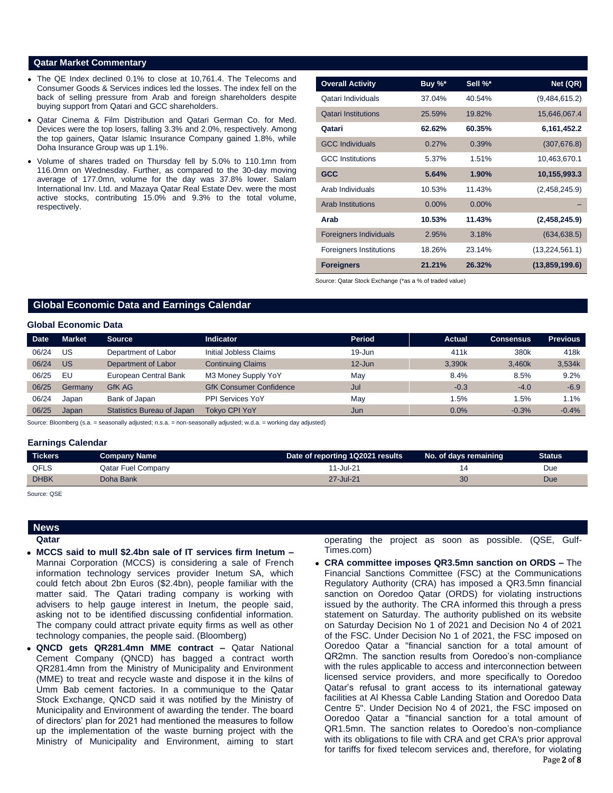## **Qatar Market Commentary**

- The QE Index declined 0.1% to close at 10,761.4. The Telecoms and Consumer Goods & Services indices led the losses. The index fell on the back of selling pressure from Arab and foreign shareholders despite buying support from Qatari and GCC shareholders.
- Qatar Cinema & Film Distribution and Qatari German Co. for Med. Devices were the top losers, falling 3.3% and 2.0%, respectively. Among the top gainers, Qatar Islamic Insurance Company gained 1.8%, while Doha Insurance Group was up 1.1%.
- Volume of shares traded on Thursday fell by 5.0% to 110.1mn from 116.0mn on Wednesday. Further, as compared to the 30-day moving average of 177.0mn, volume for the day was 37.8% lower. Salam International Inv. Ltd. and Mazaya Qatar Real Estate Dev. were the most active stocks, contributing 15.0% and 9.3% to the total volume, respectively.

| <b>Overall Activity</b>        | Buy %*   | Sell %*  | Net (QR)       |
|--------------------------------|----------|----------|----------------|
| Qatari Individuals             | 37.04%   | 40.54%   | (9,484,615.2)  |
| <b>Qatari Institutions</b>     | 25.59%   | 19.82%   | 15,646,067.4   |
| Qatari                         | 62.62%   | 60.35%   | 6,161,452.2    |
| <b>GCC Individuals</b>         | 0.27%    | 0.39%    | (307, 676.8)   |
| <b>GCC</b> Institutions        | 5.37%    | 1.51%    | 10,463,670.1   |
| <b>GCC</b>                     | 5.64%    | $1.90\%$ | 10,155,993.3   |
| Arab Individuals               | 10.53%   | 11.43%   | (2,458,245.9)  |
| <b>Arab Institutions</b>       | $0.00\%$ | $0.00\%$ |                |
| Arab                           | 10.53%   | 11.43%   | (2,458,245.9)  |
| <b>Foreigners Individuals</b>  | 2.95%    | 3.18%    | (634, 638.5)   |
| <b>Foreigners Institutions</b> | 18.26%   | 23.14%   | (13,224,561.1) |
| <b>Foreigners</b>              | 21.21%   | 26.32%   | (13,859,199.6) |

Source: Qatar Stock Exchange (\*as a % of traded value)

# **Global Economic Data and Earnings Calendar**

# **Global Economic Data**

| <b>Date</b> | <b>Market</b> | <b>Source</b>                     | <b>Indicator</b>               | Period     | <b>Actual</b> | <b>Consensus</b> | <b>Previous</b> |
|-------------|---------------|-----------------------------------|--------------------------------|------------|---------------|------------------|-----------------|
| 06/24       | บร            | Department of Labor               | Initial Jobless Claims         | $19 - Jun$ | 411k          | 380k             | 418k            |
| 06/24       | US            | Department of Labor               | <b>Continuing Claims</b>       | $12 - Jun$ | 3.390k        | 3.460k           | 3,534k          |
| 06/25       | EU            | European Central Bank             | M3 Money Supply YoY            | Mav        | 8.4%          | 8.5%             | 9.2%            |
| 06/25       | Germany       | GfK AG                            | <b>GfK Consumer Confidence</b> | Jul        | $-0.3$        | $-4.0$           | $-6.9$          |
| 06/24       | Japan         | Bank of Japan                     | PPI Services YoY               | May        | 1.5%          | 1.5%             | 1.1%            |
| 06/25       | Japan         | <b>Statistics Bureau of Japan</b> | <b>Tokyo CPI YoY</b>           | Jun        | 0.0%          | $-0.3%$          | $-0.4%$         |

Source: Bloomberg (s.a. = seasonally adjusted; n.s.a. = non-seasonally adjusted; w.d.a. = working day adjusted)

#### **Earnings Calendar**

| <b>Tickers</b> | Company Name              | Date of reporting 1Q2021 results | No. of days remaining | <b>Status</b> |
|----------------|---------------------------|----------------------------------|-----------------------|---------------|
| <b>QFLS</b>    | <b>Qatar Fuel Company</b> | 11-Jul-21                        |                       | Due           |
| <b>DHBK</b>    | Doha Bank                 | 27-Jul-21                        | 30                    | Due           |

Source: QSE

# **News Qatar**

- 
- **MCCS said to mull \$2.4bn sale of IT services firm Inetum –** Mannai Corporation (MCCS) is considering a sale of French information technology services provider Inetum SA, which could fetch about 2bn Euros (\$2.4bn), people familiar with the matter said. The Qatari trading company is working with advisers to help gauge interest in Inetum, the people said, asking not to be identified discussing confidential information. The company could attract private equity firms as well as other technology companies, the people said. (Bloomberg)
- **QNCD gets QR281.4mn MME contract –** Qatar National Cement Company (QNCD) has bagged a contract worth QR281.4mn from the Ministry of Municipality and Environment (MME) to treat and recycle waste and dispose it in the kilns of Umm Bab cement factories. In a communique to the Qatar Stock Exchange, QNCD said it was notified by the Ministry of Municipality and Environment of awarding the tender. The board of directors' plan for 2021 had mentioned the measures to follow up the implementation of the waste burning project with the Ministry of Municipality and Environment, aiming to start

operating the project as soon as possible. (QSE, Gulf-Times.com)

Page 2 of 8 **CRA committee imposes QR3.5mn sanction on ORDS –** The Financial Sanctions Committee (FSC) at the Communications Regulatory Authority (CRA) has imposed a QR3.5mn financial sanction on Ooredoo Qatar (ORDS) for violating instructions issued by the authority. The CRA informed this through a press statement on Saturday. The authority published on its website on Saturday Decision No 1 of 2021 and Decision No 4 of 2021 of the FSC. Under Decision No 1 of 2021, the FSC imposed on Ooredoo Qatar a "financial sanction for a total amount of QR2mn. The sanction results from Ooredoo's non-compliance with the rules applicable to access and interconnection between licensed service providers, and more specifically to Ooredoo Qatar's refusal to grant access to its international gateway facilities at Al Khessa Cable Landing Station and Ooredoo Data Centre 5". Under Decision No 4 of 2021, the FSC imposed on Ooredoo Qatar a "financial sanction for a total amount of QR1.5mn. The sanction relates to Ooredoo's non-compliance with its obligations to file with CRA and get CRA's prior approval for tariffs for fixed telecom services and, therefore, for violating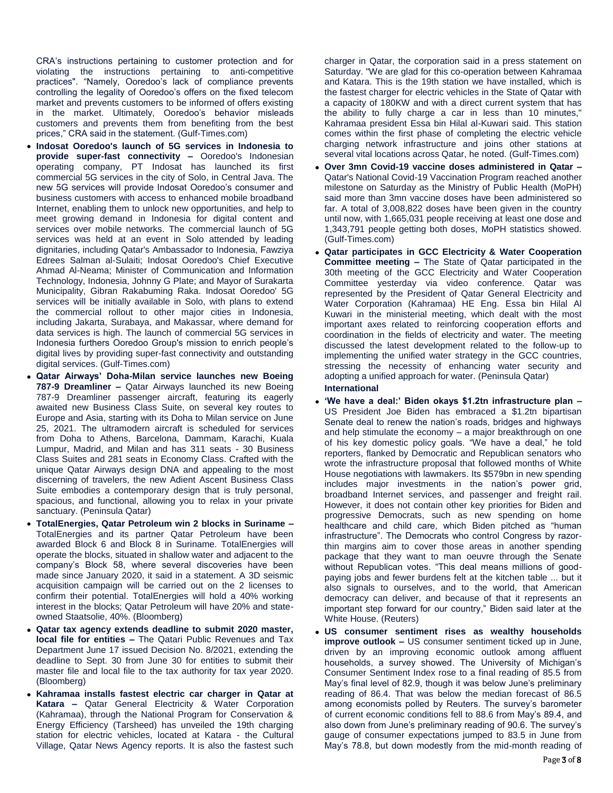CRA's instructions pertaining to customer protection and for violating the instructions pertaining to anti-competitive practices". "Namely, Ooredoo's lack of compliance prevents controlling the legality of Ooredoo's offers on the fixed telecom market and prevents customers to be informed of offers existing in the market. Ultimately, Ooredoo's behavior misleads customers and prevents them from benefiting from the best prices," CRA said in the statement. (Gulf-Times.com)

- **Indosat Ooredoo's launch of 5G services in Indonesia to provide super-fast connectivity –** Ooredoo's Indonesian operating company, PT Indosat has launched its first commercial 5G services in the city of Solo, in Central Java. The new 5G services will provide Indosat Ooredoo's consumer and business customers with access to enhanced mobile broadband Internet, enabling them to unlock new opportunities, and help to meet growing demand in Indonesia for digital content and services over mobile networks. The commercial launch of 5G services was held at an event in Solo attended by leading dignitaries, including Qatar's Ambassador to Indonesia, Fawziya Edrees Salman al-Sulaiti; Indosat Ooredoo's Chief Executive Ahmad Al-Neama; Minister of Communication and Information Technology, Indonesia, Johnny G Plate; and Mayor of Surakarta Municipality, Gibran Rakabuming Raka. Indosat Ooredoo' 5G services will be initially available in Solo, with plans to extend the commercial rollout to other major cities in Indonesia, including Jakarta, Surabaya, and Makassar, where demand for data services is high. The launch of commercial 5G services in Indonesia furthers Ooredoo Group's mission to enrich people's digital lives by providing super-fast connectivity and outstanding digital services. (Gulf-Times.com)
- **Qatar Airways' Doha-Milan service launches new Boeing 787-9 Dreamliner –** Qatar Airways launched its new Boeing 787-9 Dreamliner passenger aircraft, featuring its eagerly awaited new Business Class Suite, on several key routes to Europe and Asia, starting with its Doha to Milan service on June 25, 2021. The ultramodern aircraft is scheduled for services from Doha to Athens, Barcelona, Dammam, Karachi, Kuala Lumpur, Madrid, and Milan and has 311 seats - 30 Business Class Suites and 281 seats in Economy Class. Crafted with the unique Qatar Airways design DNA and appealing to the most discerning of travelers, the new Adient Ascent Business Class Suite embodies a contemporary design that is truly personal, spacious, and functional, allowing you to relax in your private sanctuary. (Peninsula Qatar)
- **TotalEnergies, Qatar Petroleum win 2 blocks in Suriname –** TotalEnergies and its partner Qatar Petroleum have been awarded Block 6 and Block 8 in Suriname. TotalEnergies will operate the blocks, situated in shallow water and adjacent to the company's Block 58, where several discoveries have been made since January 2020, it said in a statement. A 3D seismic acquisition campaign will be carried out on the 2 licenses to confirm their potential. TotalEnergies will hold a 40% working interest in the blocks; Qatar Petroleum will have 20% and stateowned Staatsolie, 40%. (Bloomberg)
- **Qatar tax agency extends deadline to submit 2020 master, local file for entities –** The Qatari Public Revenues and Tax Department June 17 issued Decision No. 8/2021, extending the deadline to Sept. 30 from June 30 for entities to submit their master file and local file to the tax authority for tax year 2020. (Bloomberg)
- **Kahramaa installs fastest electric car charger in Qatar at Katara –** Qatar General Electricity & Water Corporation (Kahramaa), through the National Program for Conservation & Energy Efficiency (Tarsheed) has unveiled the 19th charging station for electric vehicles, located at Katara - the Cultural Village, Qatar News Agency reports. It is also the fastest such

charger in Qatar, the corporation said in a press statement on Saturday. "We are glad for this co-operation between Kahramaa and Katara. This is the 19th station we have installed, which is the fastest charger for electric vehicles in the State of Qatar with a capacity of 180KW and with a direct current system that has the ability to fully charge a car in less than 10 minutes," Kahramaa president Essa bin Hilal al-Kuwari said. This station comes within the first phase of completing the electric vehicle charging network infrastructure and joins other stations at several vital locations across Qatar, he noted. (Gulf-Times.com)

- **Over 3mn Covid-19 vaccine doses administered in Qatar –** Qatar's National Covid-19 Vaccination Program reached another milestone on Saturday as the Ministry of Public Health (MoPH) said more than 3mn vaccine doses have been administered so far. A total of 3,008,822 doses have been given in the country until now, with 1,665,031 people receiving at least one dose and 1,343,791 people getting both doses, MoPH statistics showed. (Gulf-Times.com)
- **Qatar participates in GCC Electricity & Water Cooperation Committee meeting –** The State of Qatar participated in the 30th meeting of the GCC Electricity and Water Cooperation Committee yesterday via video conference. Qatar was represented by the President of Qatar General Electricity and Water Corporation (Kahramaa) HE Eng. Essa bin Hilal Al Kuwari in the ministerial meeting, which dealt with the most important axes related to reinforcing cooperation efforts and coordination in the fields of electricity and water. The meeting discussed the latest development related to the follow-up to implementing the unified water strategy in the GCC countries, stressing the necessity of enhancing water security and adopting a unified approach for water. (Peninsula Qatar)

# **International**

- **'We have a deal:' Biden okays \$1.2tn infrastructure plan –** US President Joe Biden has embraced a \$1.2tn bipartisan Senate deal to renew the nation's roads, bridges and highways and help stimulate the economy – a major breakthrough on one of his key domestic policy goals. "We have a deal," he told reporters, flanked by Democratic and Republican senators who wrote the infrastructure proposal that followed months of White House negotiations with lawmakers. Its \$579bn in new spending includes major investments in the nation's power grid, broadband Internet services, and passenger and freight rail. However, it does not contain other key priorities for Biden and progressive Democrats, such as new spending on home healthcare and child care, which Biden pitched as "human infrastructure". The Democrats who control Congress by razorthin margins aim to cover those areas in another spending package that they want to man oeuvre through the Senate without Republican votes. "This deal means millions of goodpaying jobs and fewer burdens felt at the kitchen table ... but it also signals to ourselves, and to the world, that American democracy can deliver, and because of that it represents an important step forward for our country," Biden said later at the White House. (Reuters)
- **US consumer sentiment rises as wealthy households improve outlook –** US consumer sentiment ticked up in June, driven by an improving economic outlook among affluent households, a survey showed. The University of Michigan's Consumer Sentiment Index rose to a final reading of 85.5 from May's final level of 82.9, though it was below June's preliminary reading of 86.4. That was below the median forecast of 86.5 among economists polled by Reuters. The survey's barometer of current economic conditions fell to 88.6 from May's 89.4, and also down from June's preliminary reading of 90.6. The survey's gauge of consumer expectations jumped to 83.5 in June from May's 78.8, but down modestly from the mid-month reading of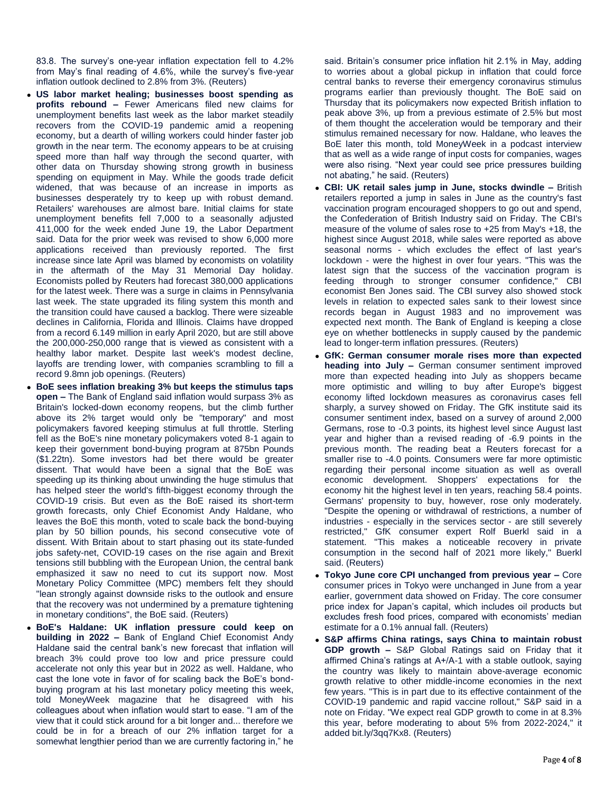83.8. The survey's one-year inflation expectation fell to 4.2% from May's final reading of 4.6%, while the survey's five-year inflation outlook declined to 2.8% from 3%. (Reuters)

- **US labor market healing; businesses boost spending as profits rebound –** Fewer Americans filed new claims for unemployment benefits last week as the labor market steadily recovers from the COVID-19 pandemic amid a reopening economy, but a dearth of willing workers could hinder faster job growth in the near term. The economy appears to be at cruising speed more than half way through the second quarter, with other data on Thursday showing strong growth in business spending on equipment in May. While the goods trade deficit widened, that was because of an increase in imports as businesses desperately try to keep up with robust demand. Retailers' warehouses are almost bare. Initial claims for state unemployment benefits fell 7,000 to a seasonally adjusted 411,000 for the week ended June 19, the Labor Department said. Data for the prior week was revised to show 6,000 more applications received than previously reported. The first increase since late April was blamed by economists on volatility in the aftermath of the May 31 Memorial Day holiday. Economists polled by Reuters had forecast 380,000 applications for the latest week. There was a surge in claims in Pennsylvania last week. The state upgraded its filing system this month and the transition could have caused a backlog. There were sizeable declines in California, Florida and Illinois. Claims have dropped from a record 6.149 million in early April 2020, but are still above the 200,000-250,000 range that is viewed as consistent with a healthy labor market. Despite last week's modest decline, layoffs are trending lower, with companies scrambling to fill a record 9.8mn job openings. (Reuters)
- **BoE sees inflation breaking 3% but keeps the stimulus taps open –** The Bank of England said inflation would surpass 3% as Britain's locked-down economy reopens, but the climb further above its 2% target would only be "temporary" and most policymakers favored keeping stimulus at full throttle. Sterling fell as the BoE's nine monetary policymakers voted 8-1 again to keep their government bond-buying program at 875bn Pounds (\$1.22tn). Some investors had bet there would be greater dissent. That would have been a signal that the BoE was speeding up its thinking about unwinding the huge stimulus that has helped steer the world's fifth-biggest economy through the COVID-19 crisis. But even as the BoE raised its short-term growth forecasts, only Chief Economist Andy Haldane, who leaves the BoE this month, voted to scale back the bond-buying plan by 50 billion pounds, his second consecutive vote of dissent. With Britain about to start phasing out its state-funded jobs safety-net, COVID-19 cases on the rise again and Brexit tensions still bubbling with the European Union, the central bank emphasized it saw no need to cut its support now. Most Monetary Policy Committee (MPC) members felt they should "lean strongly against downside risks to the outlook and ensure that the recovery was not undermined by a premature tightening in monetary conditions", the BoE said. (Reuters)
- **BoE's Haldane: UK inflation pressure could keep on building in 2022 –** Bank of England Chief Economist Andy Haldane said the central bank's new forecast that inflation will breach 3% could prove too low and price pressure could accelerate not only this year but in 2022 as well. Haldane, who cast the lone vote in favor of for scaling back the BoE's bondbuying program at his last monetary policy meeting this week, told MoneyWeek magazine that he disagreed with his colleagues about when inflation would start to ease. "I am of the view that it could stick around for a bit longer and... therefore we could be in for a breach of our 2% inflation target for a somewhat lengthier period than we are currently factoring in," he

said. Britain's consumer price inflation hit 2.1% in May, adding to worries about a global pickup in inflation that could force central banks to reverse their emergency coronavirus stimulus programs earlier than previously thought. The BoE said on Thursday that its policymakers now expected British inflation to peak above 3%, up from a previous estimate of 2.5% but most of them thought the acceleration would be temporary and their stimulus remained necessary for now. Haldane, who leaves the BoE later this month, told MoneyWeek in a podcast interview that as well as a wide range of input costs for companies, wages were also rising. "Next year could see price pressures building not abating," he said. (Reuters)

- **CBI: UK retail sales jump in June, stocks dwindle –** British retailers reported a jump in sales in June as the country's fast vaccination program encouraged shoppers to go out and spend, the Confederation of British Industry said on Friday. The CBI's measure of the volume of sales rose to +25 from May's +18, the highest since August 2018, while sales were reported as above seasonal norms - which excludes the effect of last year's lockdown - were the highest in over four years. "This was the latest sign that the success of the vaccination program is feeding through to stronger consumer confidence," CBI economist Ben Jones said. The CBI survey also showed stock levels in relation to expected sales sank to their lowest since records began in August 1983 and no improvement was expected next month. The Bank of England is keeping a close eye on whether bottlenecks in supply caused by the pandemic lead to longer-term inflation pressures. (Reuters)
- **GfK: German consumer morale rises more than expected heading into July –** German consumer sentiment improved more than expected heading into July as shoppers became more optimistic and willing to buy after Europe's biggest economy lifted lockdown measures as coronavirus cases fell sharply, a survey showed on Friday. The GfK institute said its consumer sentiment index, based on a survey of around 2,000 Germans, rose to -0.3 points, its highest level since August last year and higher than a revised reading of -6.9 points in the previous month. The reading beat a Reuters forecast for a smaller rise to -4.0 points. Consumers were far more optimistic regarding their personal income situation as well as overall economic development. Shoppers' expectations for the economy hit the highest level in ten years, reaching 58.4 points. Germans' propensity to buy, however, rose only moderately. "Despite the opening or withdrawal of restrictions, a number of industries - especially in the services sector - are still severely restricted," GfK consumer expert Rolf Buerkl said in a statement. "This makes a noticeable recovery in private consumption in the second half of 2021 more likely," Buerkl said. (Reuters)
- **Tokyo June core CPI unchanged from previous year –** Core consumer prices in Tokyo were unchanged in June from a year earlier, government data showed on Friday. The core consumer price index for Japan's capital, which includes oil products but excludes fresh food prices, compared with economists' median estimate for a 0.1% annual fall. (Reuters)
- **S&P affirms China ratings, says China to maintain robust GDP growth –** S&P Global Ratings said on Friday that it affirmed China's ratings at A+/A-1 with a stable outlook, saying the country was likely to maintain above-average economic growth relative to other middle-income economies in the next few years. "This is in part due to its effective containment of the COVID-19 pandemic and rapid vaccine rollout," S&P said in a note on Friday. "We expect real GDP growth to come in at 8.3% this year, before moderating to about 5% from 2022-2024," it added bit.ly/3qq7Kx8. (Reuters)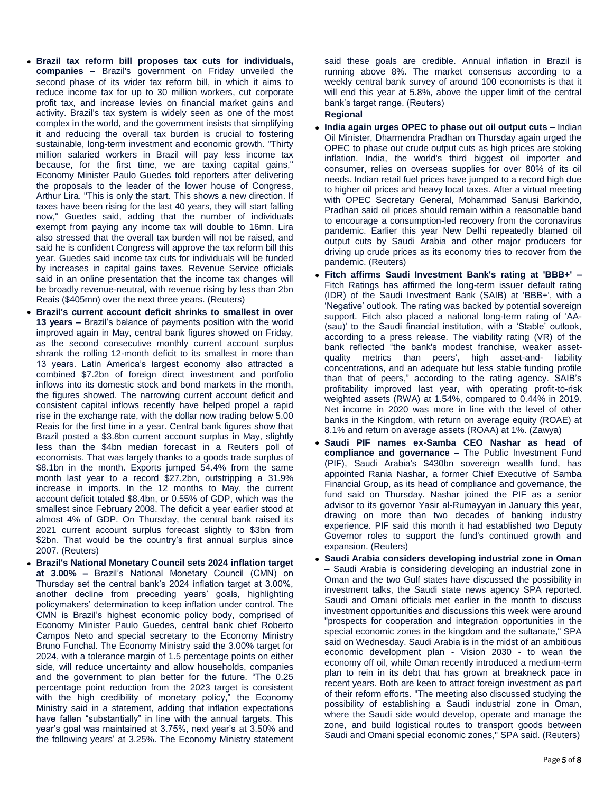- **Brazil tax reform bill proposes tax cuts for individuals, companies –** Brazil's government on Friday unveiled the second phase of its wider tax reform bill, in which it aims to reduce income tax for up to 30 million workers, cut corporate profit tax, and increase levies on financial market gains and activity. Brazil's tax system is widely seen as one of the most complex in the world, and the government insists that simplifying it and reducing the overall tax burden is crucial to fostering sustainable, long-term investment and economic growth. "Thirty million salaried workers in Brazil will pay less income tax because, for the first time, we are taxing capital gains," Economy Minister Paulo Guedes told reporters after delivering the proposals to the leader of the lower house of Congress, Arthur Lira. "This is only the start. This shows a new direction. If taxes have been rising for the last 40 years, they will start falling now," Guedes said, adding that the number of individuals exempt from paying any income tax will double to 16mn. Lira also stressed that the overall tax burden will not be raised, and said he is confident Congress will approve the tax reform bill this year. Guedes said income tax cuts for individuals will be funded by increases in capital gains taxes. Revenue Service officials said in an online presentation that the income tax changes will be broadly revenue-neutral, with revenue rising by less than 2bn Reais (\$405mn) over the next three years. (Reuters)
- **Brazil's current account deficit shrinks to smallest in over 13 years –** Brazil's balance of payments position with the world improved again in May, central bank figures showed on Friday, as the second consecutive monthly current account surplus shrank the rolling 12-month deficit to its smallest in more than 13 years. Latin America's largest economy also attracted a combined \$7.2bn of foreign direct investment and portfolio inflows into its domestic stock and bond markets in the month, the figures showed. The narrowing current account deficit and consistent capital inflows recently have helped propel a rapid rise in the exchange rate, with the dollar now trading below 5.00 Reais for the first time in a year. Central bank figures show that Brazil posted a \$3.8bn current account surplus in May, slightly less than the \$4bn median forecast in a Reuters poll of economists. That was largely thanks to a goods trade surplus of \$8.1bn in the month. Exports jumped 54.4% from the same month last year to a record \$27.2bn, outstripping a 31.9% increase in imports. In the 12 months to May, the current account deficit totaled \$8.4bn, or 0.55% of GDP, which was the smallest since February 2008. The deficit a year earlier stood at almost 4% of GDP. On Thursday, the central bank raised its 2021 current account surplus forecast slightly to \$3bn from \$2bn. That would be the country's first annual surplus since 2007. (Reuters)
- **Brazil's National Monetary Council sets 2024 inflation target at 3.00% –** Brazil's National Monetary Council (CMN) on Thursday set the central bank's 2024 inflation target at 3.00%, another decline from preceding years' goals, highlighting policymakers' determination to keep inflation under control. The CMN is Brazil's highest economic policy body, comprised of Economy Minister Paulo Guedes, central bank chief Roberto Campos Neto and special secretary to the Economy Ministry Bruno Funchal. The Economy Ministry said the 3.00% target for 2024, with a tolerance margin of 1.5 percentage points on either side, will reduce uncertainty and allow households, companies and the government to plan better for the future. "The 0.25 percentage point reduction from the 2023 target is consistent with the high credibility of monetary policy," the Economy Ministry said in a statement, adding that inflation expectations have fallen "substantially" in line with the annual targets. This year's goal was maintained at 3.75%, next year's at 3.50% and the following years' at 3.25%. The Economy Ministry statement

said these goals are credible. Annual inflation in Brazil is running above 8%. The market consensus according to a weekly central bank survey of around 100 economists is that it will end this year at 5.8%, above the upper limit of the central bank's target range. (Reuters)

# **Regional**

- **India again urges OPEC to phase out oil output cuts –** Indian Oil Minister, Dharmendra Pradhan on Thursday again urged the OPEC to phase out crude output cuts as high prices are stoking inflation. India, the world's third biggest oil importer and consumer, relies on overseas supplies for over 80% of its oil needs. Indian retail fuel prices have jumped to a record high due to higher oil prices and heavy local taxes. After a virtual meeting with OPEC Secretary General, Mohammad Sanusi Barkindo, Pradhan said oil prices should remain within a reasonable band to encourage a consumption-led recovery from the coronavirus pandemic. Earlier this year New Delhi repeatedly blamed oil output cuts by Saudi Arabia and other major producers for driving up crude prices as its economy tries to recover from the pandemic. (Reuters)
- **Fitch affirms Saudi Investment Bank's rating at 'BBB+' –** Fitch Ratings has affirmed the long-term issuer default rating (IDR) of the Saudi Investment Bank (SAIB) at 'BBB+', with a 'Negative' outlook. The rating was backed by potential sovereign support. Fitch also placed a national long-term rating of 'AA- (sau)' to the Saudi financial institution, with a 'Stable' outlook, according to a press release. The viability rating (VR) of the bank reflected "the bank's modest franchise, weaker assetquality metrics than peers', high asset-and- liability concentrations, and an adequate but less stable funding profile than that of peers," according to the rating agency. SAIB's profitability improved last year, with operating profit-to-risk weighted assets (RWA) at 1.54%, compared to 0.44% in 2019. Net income in 2020 was more in line with the level of other banks in the Kingdom, with return on average equity (ROAE) at 8.1% and return on average assets (ROAA) at 1%. (Zawya)
- **Saudi PIF names ex-Samba CEO Nashar as head of compliance and governance –** The Public Investment Fund (PIF), Saudi Arabia's \$430bn sovereign wealth fund, has appointed Rania Nashar, a former Chief Executive of Samba Financial Group, as its head of compliance and governance, the fund said on Thursday. Nashar joined the PIF as a senior advisor to its governor Yasir al-Rumayyan in January this year, drawing on more than two decades of banking industry experience. PIF said this month it had established two Deputy Governor roles to support the fund's continued growth and expansion. (Reuters)
- **Saudi Arabia considers developing industrial zone in Oman –** Saudi Arabia is considering developing an industrial zone in Oman and the two Gulf states have discussed the possibility in investment talks, the Saudi state news agency SPA reported. Saudi and Omani officials met earlier in the month to discuss investment opportunities and discussions this week were around "prospects for cooperation and integration opportunities in the special economic zones in the kingdom and the sultanate," SPA said on Wednesday. Saudi Arabia is in the midst of an ambitious economic development plan - Vision 2030 - to wean the economy off oil, while Oman recently introduced a medium-term plan to rein in its debt that has grown at breakneck pace in recent years. Both are keen to attract foreign investment as part of their reform efforts. "The meeting also discussed studying the possibility of establishing a Saudi industrial zone in Oman, where the Saudi side would develop, operate and manage the zone, and build logistical routes to transport goods between Saudi and Omani special economic zones," SPA said. (Reuters)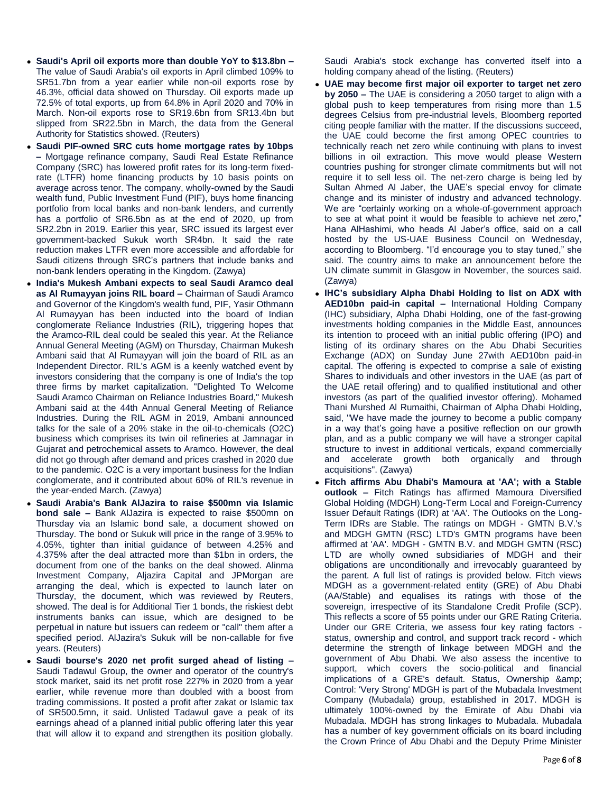- **Saudi's April oil exports more than double YoY to \$13.8bn –** The value of Saudi Arabia's oil exports in April climbed 109% to SR51.7bn from a year earlier while non-oil exports rose by 46.3%, official data showed on Thursday. Oil exports made up 72.5% of total exports, up from 64.8% in April 2020 and 70% in March. Non-oil exports rose to SR19.6bn from SR13.4bn but slipped from SR22.5bn in March, the data from the General Authority for Statistics showed. (Reuters)
- **Saudi PIF-owned SRC cuts home mortgage rates by 10bps –** Mortgage refinance company, Saudi Real Estate Refinance Company (SRC) has lowered profit rates for its long-term fixedrate (LTFR) home financing products by 10 basis points on average across tenor. The company, wholly-owned by the Saudi wealth fund, Public Investment Fund (PIF), buys home financing portfolio from local banks and non-bank lenders, and currently has a portfolio of SR6.5bn as at the end of 2020, up from SR2.2bn in 2019. Earlier this year, SRC issued its largest ever government-backed Sukuk worth SR4bn. It said the rate reduction makes LTFR even more accessible and affordable for Saudi citizens through SRC's partners that include banks and non-bank lenders operating in the Kingdom. (Zawya)
- **India's Mukesh Ambani expects to seal Saudi Aramco deal as Al Rumayyan joins RIL board –** Chairman of Saudi Aramco and Governor of the Kingdom's wealth fund, PIF, Yasir Othmann Al Rumayyan has been inducted into the board of Indian conglomerate Reliance Industries (RIL), triggering hopes that the Aramco-RIL deal could be sealed this year. At the Reliance Annual General Meeting (AGM) on Thursday, Chairman Mukesh Ambani said that Al Rumayyan will join the board of RIL as an Independent Director. RIL's AGM is a keenly watched event by investors considering that the company is one of India's the top three firms by market capitalization. "Delighted To Welcome Saudi Aramco Chairman on Reliance Industries Board," Mukesh Ambani said at the 44th Annual General Meeting of Reliance Industries. During the RIL AGM in 2019, Ambani announced talks for the sale of a 20% stake in the oil-to-chemicals (O2C) business which comprises its twin oil refineries at Jamnagar in Gujarat and petrochemical assets to Aramco. However, the deal did not go through after demand and prices crashed in 2020 due to the pandemic. O2C is a very important business for the Indian conglomerate, and it contributed about 60% of RIL's revenue in the year-ended March. (Zawya)
- **Saudi Arabia's Bank AlJazira to raise \$500mn via Islamic bond sale –** Bank AlJazira is expected to raise \$500mn on Thursday via an Islamic bond sale, a document showed on Thursday. The bond or Sukuk will price in the range of 3.95% to 4.05%, tighter than initial guidance of between 4.25% and 4.375% after the deal attracted more than \$1bn in orders, the document from one of the banks on the deal showed. Alinma Investment Company, Aljazira Capital and JPMorgan are arranging the deal, which is expected to launch later on Thursday, the document, which was reviewed by Reuters, showed. The deal is for Additional Tier 1 bonds, the riskiest debt instruments banks can issue, which are designed to be perpetual in nature but issuers can redeem or "call" them after a specified period. AlJazira's Sukuk will be non-callable for five years. (Reuters)
- **Saudi bourse's 2020 net profit surged ahead of listing –** Saudi Tadawul Group, the owner and operator of the country's stock market, said its net profit rose 227% in 2020 from a year earlier, while revenue more than doubled with a boost from trading commissions. It posted a profit after zakat or Islamic tax of SR500.5mn, it said. Unlisted Tadawul gave a peak of its earnings ahead of a planned initial public offering later this year that will allow it to expand and strengthen its position globally.

Saudi Arabia's stock exchange has converted itself into a holding company ahead of the listing. (Reuters)

- **UAE may become first major oil exporter to target net zero by 2050 –** The UAE is considering a 2050 target to align with a global push to keep temperatures from rising more than 1.5 degrees Celsius from pre-industrial levels, Bloomberg reported citing people familiar with the matter. If the discussions succeed, the UAE could become the first among OPEC countries to technically reach net zero while continuing with plans to invest billions in oil extraction. This move would please Western countries pushing for stronger climate commitments but will not require it to sell less oil. The net-zero charge is being led by Sultan Ahmed Al Jaber, the UAE's special envoy for climate change and its minister of industry and advanced technology. We are "certainly working on a whole-of-government approach to see at what point it would be feasible to achieve net zero," Hana AlHashimi, who heads Al Jaber's office, said on a call hosted by the US-UAE Business Council on Wednesday, according to Bloomberg. "I'd encourage you to stay tuned," she said. The country aims to make an announcement before the UN climate summit in Glasgow in November, the sources said. (Zawya)
- **IHC's subsidiary Alpha Dhabi Holding to list on ADX with AED10bn paid-in capital –** International Holding Company (IHC) subsidiary, Alpha Dhabi Holding, one of the fast-growing investments holding companies in the Middle East, announces its intention to proceed with an initial public offering (IPO) and listing of its ordinary shares on the Abu Dhabi Securities Exchange (ADX) on Sunday June 27with AED10bn paid-in capital. The offering is expected to comprise a sale of existing Shares to individuals and other investors in the UAE (as part of the UAE retail offering) and to qualified institutional and other investors (as part of the qualified investor offering). Mohamed Thani Murshed Al Rumaithi, Chairman of Alpha Dhabi Holding, said, "We have made the journey to become a public company in a way that's going have a positive reflection on our growth plan, and as a public company we will have a stronger capital structure to invest in additional verticals, expand commercially and accelerate growth both organically and through acquisitions". (Zawya)
- **Fitch affirms Abu Dhabi's Mamoura at 'AA'; with a Stable outlook –** Fitch Ratings has affirmed Mamoura Diversified Global Holding (MDGH) Long-Term Local and Foreign-Currency Issuer Default Ratings (IDR) at 'AA'. The Outlooks on the Long-Term IDRs are Stable. The ratings on MDGH - GMTN B.V.'s and MDGH GMTN (RSC) LTD's GMTN programs have been affirmed at 'AA'. MDGH - GMTN B.V. and MDGH GMTN (RSC) LTD are wholly owned subsidiaries of MDGH and their obligations are unconditionally and irrevocably guaranteed by the parent. A full list of ratings is provided below. Fitch views MDGH as a government-related entity (GRE) of Abu Dhabi (AA/Stable) and equalises its ratings with those of the sovereign, irrespective of its Standalone Credit Profile (SCP). This reflects a score of 55 points under our GRE Rating Criteria. Under our GRE Criteria, we assess four key rating factors status, ownership and control, and support track record - which determine the strength of linkage between MDGH and the government of Abu Dhabi. We also assess the incentive to support, which covers the socio-political and financial implications of a GRE's default. Status, Ownership & Control: 'Very Strong' MDGH is part of the Mubadala Investment Company (Mubadala) group, established in 2017. MDGH is ultimately 100%-owned by the Emirate of Abu Dhabi via Mubadala. MDGH has strong linkages to Mubadala. Mubadala has a number of key government officials on its board including the Crown Prince of Abu Dhabi and the Deputy Prime Minister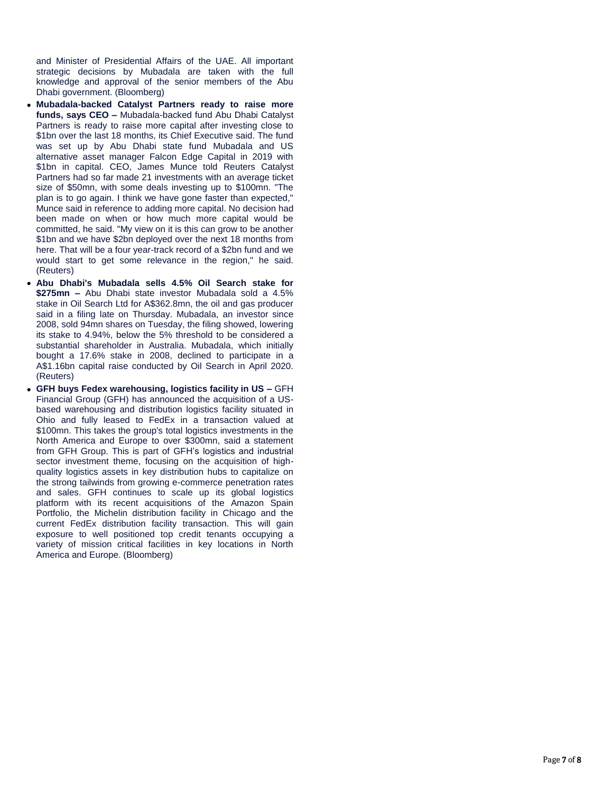and Minister of Presidential Affairs of the UAE. All important strategic decisions by Mubadala are taken with the full knowledge and approval of the senior members of the Abu Dhabi government. (Bloomberg)

- **Mubadala -backed Catalyst Partners ready to raise more funds, says CEO –** Mubadala -backed fund Abu Dhabi Catalyst Partners is ready to raise more capital after investing close to \$1bn over the last 18 months, its Chief Executive said. The fund was set up by Abu Dhabi state fund Mubadala and US alternative asset manager Falcon Edge Capital in 2019 with \$1bn in capital. CEO, James Munce told Reuters Catalyst Partners had so far made 21 investments with an average ticket size of \$50mn, with some deals investing up to \$100mn. "The plan is to go again. I think we have gone faster than expected," Munce said in reference to adding more capital. No decision had been made on when or how much more capital would be committed, he said. "My view on it is this can grow to be another \$1bn and we have \$2bn deployed over the next 18 months from here. That will be a four year -track record of a \$2bn fund and we would start to get some relevance in the region," he said. (Reuters)
- **Abu Dhabi's Mubadala sells 4.5% Oil Search stake for \$275mn –** Abu Dhabi state investor Mubadala sold a 4.5% stake in Oil Search Ltd for A\$362.8mn, the oil and gas producer said in a filing late on Thursday. Mubadala, an investor since 2008, sold 94mn shares on Tuesday, the filing showed, lowering its stake to 4.94%, below the 5% threshold to be considered a substantial shareholder in Australia. Mubadala, which initially bought a 17.6% stake in 2008, declined to participate in a A\$1.16bn capital raise conducted by Oil Search in April 2020. (Reuters)
- **GFH buys Fedex warehousing, logistics facility in US –** GFH Financial Group (GFH) has announced the acquisition of a US based warehousing and distribution logistics facility situated in Ohio and fully leased to FedEx in a transaction valued at \$100mn. This takes the group's total logistics investments in the North America and Europe to over \$300mn, said a statement from GFH Group. This is part of GFH's logistics and industrial sector investment theme, focusing on the acquisition of highquality logistics assets in key distribution hubs to capitalize on the strong tailwinds from growing e -commerce penetration rates and sales. GFH continues to scale up its global logistics platform with its recent acquisitions of the Amazon Spain Portfolio, the Michelin distribution facility in Chicago and the current FedEx distribution facility transaction. This will gain exposure to well positioned top credit tenants occupying a variety of mission critical facilities in key locations in North America and Europe. (Bloomberg)